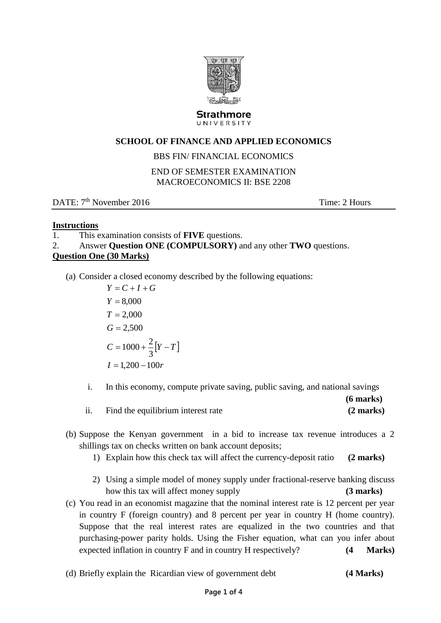

#### Strathmore UNIVERSITY

# **SCHOOL OF FINANCE AND APPLIED ECONOMICS**

## BBS FIN/ FINANCIAL ECONOMICS

### END OF SEMESTER EXAMINATION MACROECONOMICS II: BSE 2208

DATE:  $7<sup>th</sup>$  November 2016 Time: 2 Hours

## **Instructions**

- 1. This examination consists of **FIVE** questions.
- 2. Answer **Question ONE (COMPULSORY)** and any other **TWO** questions.

## **Question One (30 Marks)**

(a) Consider a closed economy described by the following equations:

 $C = 1000 + \frac{2}{3}[Y-T]$  $I = 1,200 - 100r$  $G = 2,500$  $T = 2,000$ *Y* 8,000  $Y = C + I + G$ 3  $=1000+\frac{2}{5}[Y-$ 

- i. In this economy, compute private saving, public saving, and national savings
- **(6 marks)** ii. Find the equilibrium interest rate **(2 marks)**
- (b) Suppose the Kenyan government in a bid to increase tax revenue introduces a 2 shillings tax on checks written on bank account deposits;
	- 1) Explain how this check tax will affect the currency-deposit ratio **(2 marks)**
	- 2) Using a simple model of money supply under fractional-reserve banking discuss how this tax will affect money supply **(3 marks)**
- (c) You read in an economist magazine that the nominal interest rate is 12 percent per year in country F (foreign country) and 8 percent per year in country H (home country). Suppose that the real interest rates are equalized in the two countries and that purchasing-power parity holds. Using the Fisher equation, what can you infer about expected inflation in country F and in country H respectively? **(4 Marks)**
- (d) Briefly explain the Ricardian view of government debt **(4 Marks)**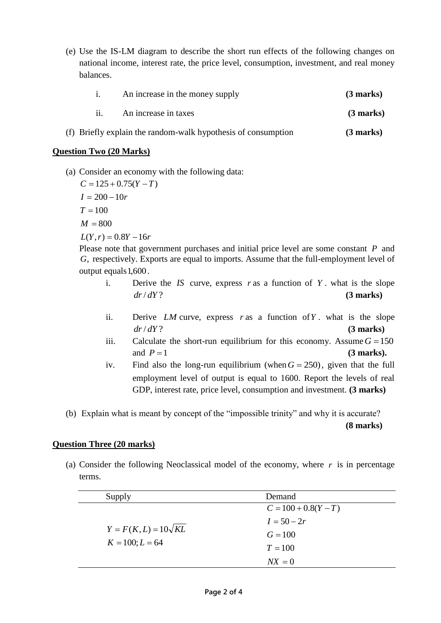(e) Use the IS-LM diagram to describe the short run effects of the following changes on national income, interest rate, the price level, consumption, investment, and real money balances.

| An increase in the money supply | $(3$ marks) |
|---------------------------------|-------------|
| An increase in taxes            | $(3$ marks) |

(f) Briefly explain the random-walk hypothesis of consumption **(3 marks)**

### **Question Two (20 Marks)**

(a) Consider an economy with the following data:

 $L(Y, r) = 0.8Y - 16r$  $M = 800$  $T = 100$  $I = 200 - 10r$  $C = 125 + 0.75(Y - T)$ 

Please note that government purchases and initial price level are some constant P and *G*, respectively. Exports are equal to imports. Assume that the full-employment level of output equals 1,600.

- i. Derive the  $IS$  curve, express  $r$  as a function of  $Y$ . what is the slope *dr*/ *dY* ? **(3 marks)**
- ii. Derive *LM* curve, express  $r$  as a function of  $Y$ . what is the slope *dr*/ *dY* ? **(3 marks)**
- iii. Calculate the short-run equilibrium for this economy. Assume  $G = 150$ and  $P = 1$ **(3 marks).**
- iv. Find also the long-run equilibrium (when  $G = 250$ ), given that the full employment level of output is equal to 1600. Report the levels of real GDP, interest rate, price level, consumption and investment. **(3 marks)**
- (b) Explain what is meant by concept of the "impossible trinity" and why it is accurate? **(8 marks)**

### **Question Three (20 marks)**

(a) Consider the following Neoclassical model of the economy, where  $r$  is in percentage terms.

| Supply                      | Demand                 |
|-----------------------------|------------------------|
|                             | $C = 100 + 0.8(Y - T)$ |
|                             | $I = 50 - 2r$          |
| $Y = F(K, L) = 10\sqrt{KL}$ | $G = 100$              |
| $K = 100; L = 64$           | $T = 100$              |
|                             | $NX = 0$               |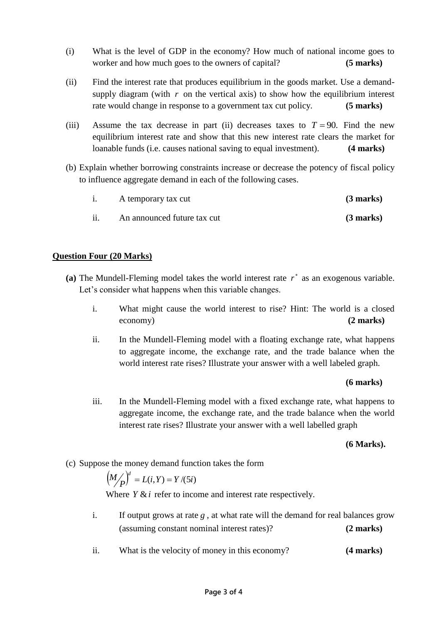- (i) What is the level of GDP in the economy? How much of national income goes to worker and how much goes to the owners of capital? **(5 marks)**
- (ii) Find the interest rate that produces equilibrium in the goods market. Use a demandsupply diagram (with  $r$  on the vertical axis) to show how the equilibrium interest rate would change in response to a government tax cut policy. **(5 marks)**
- (iii) Assume the tax decrease in part (ii) decreases taxes to  $T = 90$ . Find the new equilibrium interest rate and show that this new interest rate clears the market for loanable funds (i.e. causes national saving to equal investment). **(4 marks)**
- (b) Explain whether borrowing constraints increase or decrease the potency of fiscal policy to influence aggregate demand in each of the following cases.

|     | A temporary tax cut         | $(3 \text{ marks})$ |
|-----|-----------------------------|---------------------|
| ii. | An announced future tax cut | $(3$ marks)         |

## **Question Four (20 Marks)**

- (a) The Mundell-Fleming model takes the world interest rate  $r^*$  as an exogenous variable. Let's consider what happens when this variable changes.
	- i. What might cause the world interest to rise? Hint: The world is a closed economy) **(2 marks)**
	- ii. In the Mundell-Fleming model with a floating exchange rate, what happens to aggregate income, the exchange rate, and the trade balance when the world interest rate rises? Illustrate your answer with a well labeled graph.

### **(6 marks)**

iii. In the Mundell-Fleming model with a fixed exchange rate, what happens to aggregate income, the exchange rate, and the trade balance when the world interest rate rises? Illustrate your answer with a well labelled graph

### **(6 Marks).**

(c) Suppose the money demand function takes the form

$$
\left(M_{\angle P}'\right)^d = L(i,Y) = Y/(5i)
$$

Where  $Y \& i$  refer to income and interest rate respectively.

- i. If output grows at rate  $g$ , at what rate will the demand for real balances grow (assuming constant nominal interest rates)? **(2 marks)**
- ii. What is the velocity of money in this economy? **(4 marks)**